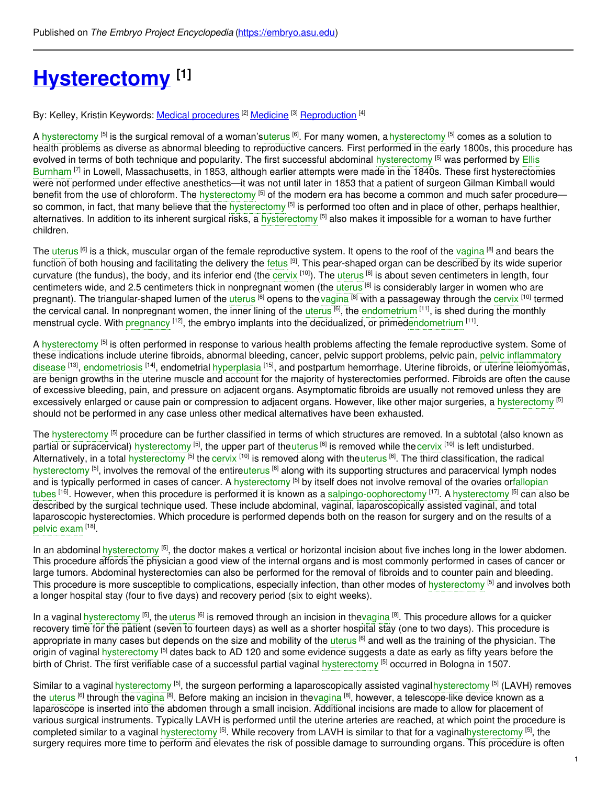# **[Hysterectomy](https://embryo.asu.edu/pages/hysterectomy) [1]**

By: Kelley, Kristin Keywords: <u>Medical [procedures](https://embryo.asu.edu/keywords/medical-procedures)</u> <sup>[2]</sup> [Medicine](https://embryo.asu.edu/keywords/medicine) <sup>[3]</sup> [Reproduction](https://embryo.asu.edu/keywords/reproduction) <sup>[4]</sup>

A [hysterectomy](https://embryo.asu.edu/search?text=hysterectomy) <sup>[5]</sup> is the surgical removal of a woman's[uterus](https://embryo.asu.edu/search?text=uterus) <sup>[6]</sup>. For many women, a hysterectomy <sup>[5]</sup> comes as a solution to health problems as diverse as abnormal bleeding to reproductive cancers. First performed in the early 1800s, this procedure has evolved in terms of both technique and popularity. The first successful abdominal [hysterectomy](https://embryo.asu.edu/search?text=hysterectomy) [5] was performed by Ellis Burnham <sup>[7]</sup> in Lowell, [Massachusetts,](https://embryo.asu.edu/search?text=Ellis%20Burnham) in 1853, although earlier attempts were made in the 1840s. These first hysterectomies were not performed under effective anesthetics—it was not until later in 1853 that a patient of surgeon Gilman Kimball would benefit from the use of chloroform. The [hysterectomy](https://embryo.asu.edu/search?text=hysterectomy) <sup>[5]</sup> of the modern era has become a common and much safer procedure so common, in fact, that many believe that the [hysterectomy](https://embryo.asu.edu/search?text=hysterectomy) <sup>[5]</sup> is performed too often and in place of other, perhaps healthier, alternatives. In addition to its inherent surgical risks, a [hysterectomy](https://embryo.asu.edu/search?text=hysterectomy) <sup>[5]</sup> also makes it impossible for a woman to have further children.

The [uterus](https://embryo.asu.edu/search?text=uterus) <sup>[6]</sup> is a thick, muscular organ of the female reproductive system. It opens to the roof of the [vagina](https://embryo.asu.edu/search?text=vagina) <sup>[8]</sup> and bears the function of both housing and facilitating the delivery the [fetus](https://embryo.asu.edu/search?text=fetus) <sup>[9]</sup>. This pear-shaped organ can be described by its wide superior curvature (the fundus), the body, and its inferior end (the [cervix](https://embryo.asu.edu/search?text=cervix) <sup>[10]</sup>). The [uterus](https://embryo.asu.edu/search?text=uterus) <sup>[6]</sup> is about seven centimeters in length, four centimeters wide, and 2.5 centimeters thick in nonpregnant women (the [uterus](https://embryo.asu.edu/search?text=uterus) <sup>[6]</sup> is considerably larger in women who are pregnant). The triangular-shaped lumen of the [uterus](https://embryo.asu.edu/search?text=uterus) <sup>[6]</sup> opens to the [vagina](https://embryo.asu.edu/search?text=vagina) <sup>[8]</sup> with a passageway through the [cervix](https://embryo.asu.edu/search?text=cervix) <sup>[10]</sup> termed the cervical canal. In nonpregnant women, the inner lining of the [uterus](https://embryo.asu.edu/search?text=uterus) <sup>[6]</sup>, the [endometrium](https://embryo.asu.edu/search?text=endometrium) <sup>[11]</sup>, is shed during the monthly menstrual cycle. With [pregnancy](https://embryo.asu.edu/search?text=pregnancy) <sup>[12]</sup>, the embryo implants into the decidualized, or prime[dendometrium](https://embryo.asu.edu/search?text=endometrium) <sup>[11]</sup>.

A [hysterectomy](https://embryo.asu.edu/search?text=hysterectomy) <sup>[5]</sup> is often performed in response to various health problems affecting the female reproductive system. Some of these indications include uterine fibroids, abnormal bleeding, cancer, pelvic support problems, pelvic pain, pelvic inflammatory disease <sup>[13]</sup>, [endometriosis](https://embryo.asu.edu/search?text=pelvic%20inflammatory%20disease) <sup>[14]</sup>, endometrial [hyperplasia](https://embryo.asu.edu/search?text=hyperplasia) <sup>[15]</sup>, and postpartum hemorrhage. Uterine fibroids, or uterine leiomyomas, are benign growths in the uterine muscle and account for the majority of hysterectomies performed. Fibroids are often the cause of excessive bleeding, pain, and pressure on adjacent organs. Asymptomatic fibroids are usually not removed unless they are excessively enlarged or cause pain or compression to adjacent organs. However, like other major surgeries, a [hysterectomy](https://embryo.asu.edu/search?text=hysterectomy) <sup>[5]</sup> should not be performed in any case unless other medical alternatives have been exhausted.

The [hysterectomy](https://embryo.asu.edu/search?text=hysterectomy) <sup>[5]</sup> procedure can be further classified in terms of which structures are removed. In a subtotal (also known as partial or supracervical) [hysterectomy](https://embryo.asu.edu/search?text=hysterectomy) <sup>[5]</sup>, the upper part of the[uterus](https://embryo.asu.edu/search?text=uterus) <sup>[6]</sup> is removed while the [cervix](https://embryo.asu.edu/search?text=cervix) <sup>[10]</sup> is left undisturbed. Alternatively, in a total [hysterectomy](https://embryo.asu.edu/search?text=hysterectomy) <sup>[5]</sup> the [cervix](https://embryo.asu.edu/search?text=cervix) <sup>[10]</sup> is removed along with the[uterus](https://embryo.asu.edu/search?text=uterus) <sup>[6]</sup>. The third classification, the radical [hysterectomy](https://embryo.asu.edu/search?text=hysterectomy) <sup>[5]</sup>, involves the removal of the entir[euterus](https://embryo.asu.edu/search?text=uterus) <sup>[6]</sup> along with its supporting structures and paracervical lymph nodes and is typically performed in cases of cancer. A [hysterectomy](https://embryo.asu.edu/search?text=hysterectomy) <sup>[5]</sup> by itself does not involve removal of the ovaries orfallopian tubes <sup>[16]</sup>. However, when this procedure is performed it is known as a [salpingo-oophorectomy](https://embryo.asu.edu/search?text=fallopian%20tubes) <sup>[17]</sup>. A [hysterectomy](https://embryo.asu.edu/search?text=hysterectomy) <sup>[5]</sup> can also be described by the surgical technique used. These include abdominal, vaginal, laparoscopically assisted vaginal, and total laparoscopic hysterectomies. Which procedure is performed depends both on the reason for surgery and on the results of a [pelvic](https://embryo.asu.edu/search?text=pelvic%20exam) exam [18].

In an abdominal [hysterectomy](https://embryo.asu.edu/search?text=hysterectomy) <sup>[5]</sup>, the doctor makes a vertical or horizontal incision about five inches long in the lower abdomen. This procedure affords the physician a good view of the internal organs and is most commonly performed in cases of cancer or large tumors. Abdominal hysterectomies can also be performed for the removal of fibroids and to counter pain and bleeding. This procedure is more susceptible to complications, especially infection, than other modes of [hysterectomy](https://embryo.asu.edu/search?text=hysterectomy) <sup>[5]</sup> and involves both a longer hospital stay (four to five days) and recovery period (six to eight weeks).

In a vaginal [hysterectomy](https://embryo.asu.edu/search?text=hysterectomy) <sup>[5]</sup>, the [uterus](https://embryo.asu.edu/search?text=uterus) <sup>[6]</sup> is removed through an incision in th[evagina](https://embryo.asu.edu/search?text=vagina) <sup>[8]</sup>. This procedure allows for a quicker recovery time for the patient (seven to fourteen days) as well as a shorter hospital stay (one to two days). This procedure is appropriate in many cases but depends on the size and mobility of the [uterus](https://embryo.asu.edu/search?text=uterus) <sup>[6]</sup> and well as the training of the physician. The origin of vaginal [hysterectomy](https://embryo.asu.edu/search?text=hysterectomy) <sup>[5]</sup> dates back to AD 120 and some evidence suggests a date as early as fifty years before the birth of Christ. The first verifiable case of a successful partial vaginal [hysterectomy](https://embryo.asu.edu/search?text=hysterectomy) <sup>[5]</sup> occurred in Bologna in 1507.

Similar to a vaginal [hysterectomy](https://embryo.asu.edu/search?text=hysterectomy) <sup>[5]</sup>, the surgeon performing a laparoscopically assisted vaginal hysterectomy <sup>[5]</sup> (LAVH) removes the [uterus](https://embryo.asu.edu/search?text=uterus) <sup>[6]</sup> through the [vagina](https://embryo.asu.edu/search?text=vagina) <sup>[8]</sup>. Before making an incision in th[evagina](https://embryo.asu.edu/search?text=vagina) <sup>[8]</sup>, however, a telescope-like device known as a laparoscope is inserted into the abdomen through a small incision. Additional incisions are made to allow for placement of various surgical instruments. Typically LAVH is performed until the uterine arteries are reached, at which point the procedure is completed similar to a vaginal [hysterectomy](https://embryo.asu.edu/search?text=hysterectomy) <sup>[5]</sup>. While recovery from LAVH is similar to that for a vagina[lhysterectomy](https://embryo.asu.edu/search?text=hysterectomy) <sup>[5]</sup>, the surgery requires more time to perform and elevates the risk of possible damage to surrounding organs. This procedure is often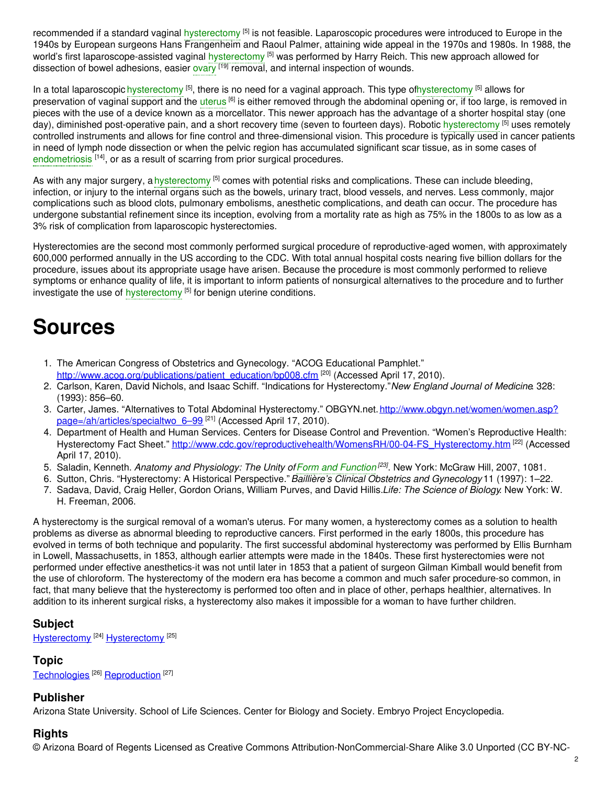recommended if a standard vaginal [hysterectomy](https://embryo.asu.edu/search?text=hysterectomy) <sup>[5]</sup> is not feasible. Laparoscopic procedures were introduced to Europe in the 1940s by European surgeons Hans Frangenheim and Raoul Palmer, attaining wide appeal in the 1970s and 1980s. In 1988, the world's first laparoscope-assisted vaginal [hysterectomy](https://embryo.asu.edu/search?text=hysterectomy) <sup>[5]</sup> was performed by Harry Reich. This new approach allowed for dissection of bowel adhesions, easier [ovary](https://embryo.asu.edu/search?text=ovary) <sup>[19]</sup> removal, and internal inspection of wounds.

In a total laparoscopic [hysterectomy](https://embryo.asu.edu/search?text=hysterectomy) <sup>[5]</sup>, there is no need for a vaginal approach. This type o[fhysterectomy](https://embryo.asu.edu/search?text=hysterectomy) <sup>[5]</sup> allows for preservation of vaginal support and the [uterus](https://embryo.asu.edu/search?text=uterus) <sup>[6]</sup> is either removed through the abdominal opening or, if too large, is removed in pieces with the use of a device known as a morcellator. This newer approach has the advantage of a shorter hospital stay (one day), diminished post-operative pain, and a short recovery time (seven to fourteen days). Robotic [hysterectomy](https://embryo.asu.edu/search?text=hysterectomy) <sup>[5]</sup> uses remotely controlled instruments and allows for fine control and three-dimensional vision. This procedure is typically used in cancer patients in need of lymph node dissection or when the pelvic region has accumulated significant scar tissue, as in some cases of [endometriosis](https://embryo.asu.edu/search?text=endometriosis) <sup>[14]</sup>, or as a result of scarring from prior surgical procedures.

As with any major surgery, a [hysterectomy](https://embryo.asu.edu/search?text=hysterectomy) <sup>[5]</sup> comes with potential risks and complications. These can include bleeding, infection, or injury to the internal organs such as the bowels, urinary tract, blood vessels, and nerves. Less commonly, major complications such as blood clots, pulmonary embolisms, anesthetic complications, and death can occur. The procedure has undergone substantial refinement since its inception, evolving from a mortality rate as high as 75% in the 1800s to as low as a 3% risk of complication from laparoscopic hysterectomies.

Hysterectomies are the second most commonly performed surgical procedure of reproductive-aged women, with approximately 600,000 performed annually in the US according to the CDC. With total annual hospital costs nearing five billion dollars for the procedure, issues about its appropriate usage have arisen. Because the procedure is most commonly performed to relieve symptoms or enhance quality of life, it is important to inform patients of nonsurgical alternatives to the procedure and to further investigate the use of [hysterectomy](https://embryo.asu.edu/search?text=hysterectomy) [5] for benign uterine conditions.

# **Sources**

- 1. The American Congress of Obstetrics and Gynecology. "ACOG Educational Pamphlet." [http://www.acog.org/publications/patient\\_education/bp008.cfm](http://www.acog.org/publications/patient_education/bp008.cfm) [20] (Accessed April 17, 2010).
- 2. Carlson, Karen, David Nichols, and Isaac Schiff. "Indications for Hysterectomy."*New England Journal of Medicine*. 328: (1993): 856–60.
- 3. Carter, James. "Alternatives to Total Abdominal Hysterectomy." [OBGYN.net.http://www.obgyn.net/women/women.asp?](http://www.obgyn.net/women/women.asp?page=/ah/articles/specialtwo_6%E2%80%9399) page=/ah/articles/specialtwo\_6-99 <sup>[21]</sup> (Accessed April 17, 2010).
- 4. Department of Health and Human Services. Centers for Disease Control and Prevention. "Women's Reproductive Health: Hysterectomy Fact Sheet." [http://www.cdc.gov/reproductivehealth/WomensRH/00-04-FS\\_Hysterectomy.htm](http://www.cdc.gov/reproductivehealth/WomensRH/00-04-FS_Hysterectomy.htm) [22] (Accessed April 17, 2010).
- 5. Saladin, Kenneth. *Anatomy and Physiology: The Unity ofForm and [Function](https://embryo.asu.edu/search?text=Form%20and%20Function) [23]* . New York: McGraw Hill, 2007, 1081.
- 6. Sutton, Chris. "Hysterectomy: A Historical Perspective."*Baillière's Clinical Obstetrics and Gynecology* 11 (1997): 1–22.
- 7. Sadava, David, Craig Heller, Gordon Orians, William Purves, and David Hillis.*Life: The Science of Biology*. New York: W. H. Freeman, 2006.

A hysterectomy is the surgical removal of a woman's uterus. For many women, a hysterectomy comes as a solution to health problems as diverse as abnormal bleeding to reproductive cancers. First performed in the early 1800s, this procedure has evolved in terms of both technique and popularity. The first successful abdominal hysterectomy was performed by Ellis Burnham in Lowell, Massachusetts, in 1853, although earlier attempts were made in the 1840s. These first hysterectomies were not performed under effective anesthetics-it was not until later in 1853 that a patient of surgeon Gilman Kimball would benefit from the use of chloroform. The hysterectomy of the modern era has become a common and much safer procedure-so common, in fact, that many believe that the hysterectomy is performed too often and in place of other, perhaps healthier, alternatives. In addition to its inherent surgical risks, a hysterectomy also makes it impossible for a woman to have further children.

## **Subject**

[Hysterectomy](https://embryo.asu.edu/medical-subject-headings/hysterectomy)<sup>[24]</sup> Hysterectomy<sup>[25]</sup>

## **Topic**

[Technologies](https://embryo.asu.edu/topics/technologies)<sup>[26]</sup> [Reproduction](https://embryo.asu.edu/topics/reproduction)<sup>[27]</sup>

### **Publisher**

Arizona State University. School of Life Sciences. Center for Biology and Society. Embryo Project Encyclopedia.

## **Rights**

© Arizona Board of Regents Licensed as Creative Commons Attribution-NonCommercial-Share Alike 3.0 Unported (CC BY-NC-